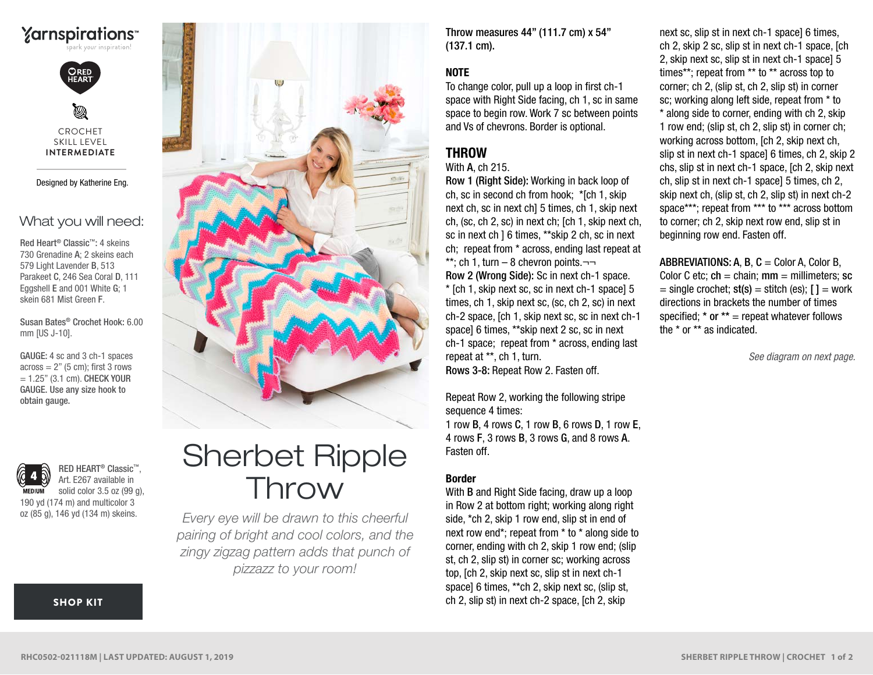



CROCHET SKILL LEVEL **INTERMEDIATE**

Designed by Katherine Eng.

## What you will need:

Red Heart® Classic™: 4 skeins 730 Grenadine A; 2 skeins each 579 Light Lavender B, 513 Parakeet C, 246 Sea Coral D, 111 Eggshell E and 001 White G; 1 skein 681 Mist Green F.

Susan Bates® Crochet Hook: 6.00 mm [US J-10].

GAUGE: 4 sc and 3 ch-1 spaces  $across = 2"$  (5 cm); first 3 rows  $= 1.25$ " (3.1 cm). CHECK YOUR GAUGE. Use any size hook to obtain gauge.



RED HEART® Classic™, Art. E267 available in solid color 3.5 oz (99 g), 190 yd (174 m) and multicolor 3 oz (85 g), 146 yd (134 m) skeins.



# Sherbet Ripple Throw

*Every eye will be drawn to this cheerful pairing of bright and cool colors, and the zingy zigzag pattern adds that punch of pizzazz to your room!*

Throw measures 44" (111.7 cm) x 54" (137.1 cm).

## NOTE

To change color, pull up a loop in first ch-1 space with Right Side facing, ch 1, sc in same space to begin row. Work 7 sc between points and Vs of chevrons. Border is optional.

# **THROW**

### With A, ch 215.

Row 1 (Right Side): Working in back loop of ch, sc in second ch from hook; \*[ch 1, skip next ch, sc in next ch] 5 times, ch 1, skip next ch, (sc, ch 2, sc) in next ch; [ch 1, skip next ch, sc in next ch ] 6 times, \*\*skip 2 ch, sc in next ch; repeat from \* across, ending last repeat at \*\*; ch 1, turn  $-$  8 chevron points. $\neg\neg$ Row 2 (Wrong Side): Sc in next ch-1 space. \* [ch 1, skip next sc, sc in next ch-1 space] 5 times, ch 1, skip next sc, (sc, ch 2, sc) in next ch-2 space, [ch 1, skip next sc, sc in next ch-1

space] 6 times, \*\*skip next 2 sc, sc in next ch-1 space; repeat from \* across, ending last repeat at \*\*, ch 1, turn. Rows 3-8: Repeat Row 2. Fasten off.

Repeat Row 2, working the following stripe sequence 4 times: 1 row B, 4 rows C, 1 row B, 6 rows D, 1 row E, 4 rows F, 3 rows B, 3 rows G, and 8 rows A. Fasten off.

## Border

With B and Right Side facing, draw up a loop in Row 2 at bottom right; working along right side, \*ch 2, skip 1 row end, slip st in end of next row end\*; repeat from \* to \* along side to corner, ending with ch 2, skip 1 row end; (slip st, ch 2, slip st) in corner sc; working across top, [ch 2, skip next sc, slip st in next ch-1 space] 6 times, \*\*ch 2, skip next sc, (slip st, ch 2, slip st) in next ch-2 space, [ch 2, skip

next sc, slip st in next ch-1 space] 6 times, ch 2, skip 2 sc, slip st in next ch-1 space, [ch 2, skip next sc, slip st in next ch-1 space] 5 times\*\*; repeat from \*\* to \*\* across top to corner; ch 2, (slip st, ch 2, slip st) in corner sc; working along left side, repeat from \* to \* along side to corner, ending with ch 2, skip 1 row end; (slip st, ch 2, slip st) in corner ch; working across bottom, [ch 2, skip next ch, slip st in next ch-1 space] 6 times, ch 2, skip 2 chs, slip st in next ch-1 space, [ch 2, skip next ch, slip st in next ch-1 space] 5 times, ch 2, skip next ch, (slip st, ch 2, slip st) in next ch-2 space\*\*\*; repeat from \*\*\* to \*\*\* across bottom to corner; ch 2, skip next row end, slip st in beginning row end. Fasten off.

ABBREVIATIONS: A, B,  $C =$  Color A, Color B, Color C etc;  $\mathsf{ch} = \mathsf{chain}$ ;  $\mathsf{mm} = \mathsf{millimeters}$ ; sc  $=$  single crochet;  $st(s) = stitch (es);$  [ ]  $=$  work directions in brackets the number of times specified;  $*$  or  $**$  = repeat whatever follows the \* or \*\* as indicated.

*See diagram on next page.*

#### [SHOP KIT](https://www.yarnspirations.com/red-heart-sherbet-ripple-throw/RHC0502-021118M.html#utm_source=pdf-yarnspirations&utm_medium=referral&utm_campaign=pdf-RHC0502-021118M)